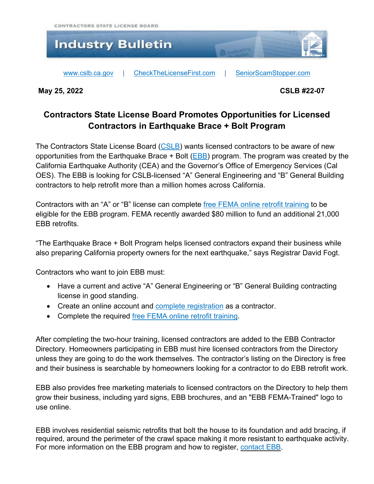

**May 25, 2022 CSLB #22-07**

## **Contractors State License Board Promotes Opportunities for Licensed Contractors in Earthquake Brace + Bolt Program**

The Contractors State License Board [\(CSLB\)](http://www.cslb.ca.gov/) wants licensed contractors to be aware of new opportunities from the Earthquake Brace  $+$  Bolt ( $EBB$ ) program. The program was created by the California Earthquake Authority (CEA) and the Governor's Office of Emergency Services (Cal OES). The EBB is looking for CSLB-licensed "A" General Engineering and "B" General Building contractors to help retrofit more than a million homes across California.

Contractors with an "A" or "B" license can complete free FEMA online retrofit [training](https://www.earthquakebracebolt.com/Contractors-Design-Professionals/Get-Trained) to be eligible for the EBB program. FEMA recently awarded \$80 million to fund an additional 21,000 EBB retrofits.

"The Earthquake Brace + Bolt Program helps licensed contractors expand their business while also preparing California property owners for the next earthquake," says Registrar David Fogt.

Contractors who want to join EBB must:

- Have a current and active "A" General Engineering or "B" General Building contracting license in good standing.
- Create an online account and complete [registration](https://www.earthquakebracebolt.com/Contractors-Design-Professionals/Register) as a contractor.
- Complete the required free FEMA online retrofit [training.](https://www.earthquakebracebolt.com/Contractors-Design-Professionals/Get-Trained)

After completing the two-hour training, licensed contractors are added to the EBB Contractor Directory. Homeowners participating in EBB must hire licensed contractors from the Directory unless they are going to do the work themselves. The contractor's listing on the Directory is free and their business is searchable by homeowners looking for a contractor to do EBB retrofit work.

EBB also provides free marketing materials to licensed contractors on the Directory to help them grow their business, including yard signs, EBB brochures, and an "EBB FEMA-Trained" logo to use online.

EBB involves residential seismic retrofits that bolt the house to its foundation and add bracing, if required, around the perimeter of the crawl space making it more resistant to earthquake activity. For more information on the EBB program and how to register, [contact](https://www.earthquakebracebolt.com/Contact) EBB.